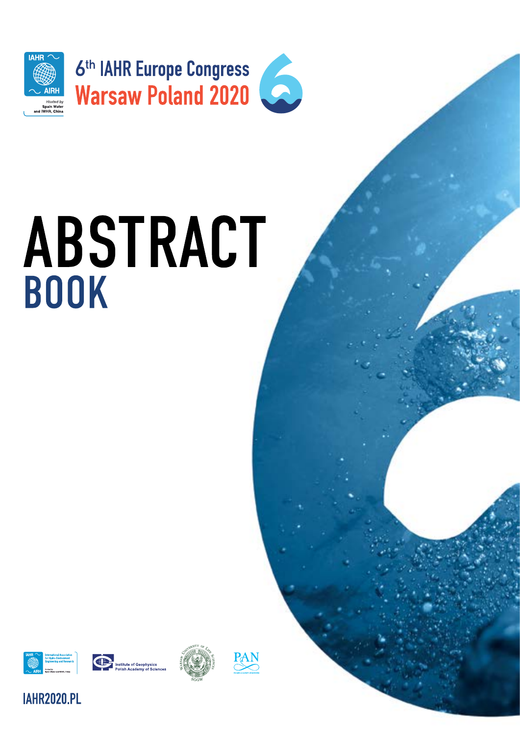

# ABSTRACT **BOOK**







PAN

## **IAHR2020.PL**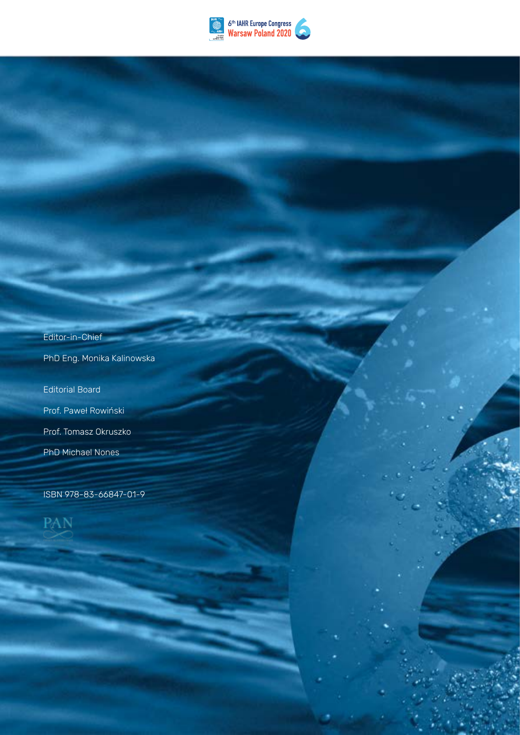

2 IAHR 2020 – ABSTRACT BOOK IN 2020 – ABSTRACT BOOK IN 2020 – ABSTRACT BOOK IN 2020 – ABSTRACT BOOK IN 2020 –

Editor-in-Chief PhD Eng. Monika Kalinowska Editorial Board Prof. Paweł Rowiński Prof. Tomasz Okruszko

ISBN 978-83-66847-01-9

PhD Michael Nones

PAN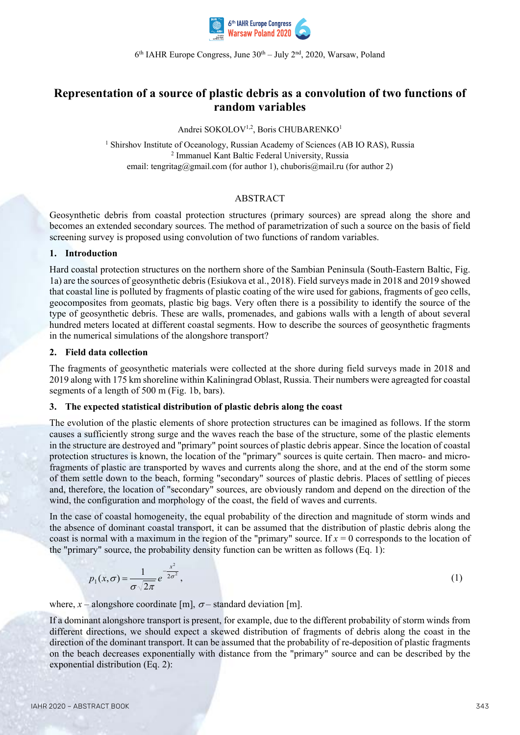

 $6<sup>th</sup>$  IAHR Europe Congress, June  $30<sup>th</sup>$  – July  $2<sup>nd</sup>$ , 2020, Warsaw, Poland

### **Representation of a source of plastic debris as a convolution of two functions of random variables**

Andrei SOKOLOV<sup>1,2</sup>, Boris CHUBARENKO<sup>1</sup>

<sup>1</sup> Shirshov Institute of Oceanology, Russian Academy of Sciences (AB IO RAS), Russia <sup>2</sup> Immanuel Kant Baltic Federal University, Russia email: tengritag@gmail.com (for author 1), chuboris@mail.ru (for author 2)

#### ABSTRACT

Geosynthetic debris from coastal protection structures (primary sources) are spread along the shore and becomes an extended secondary sources. The method of parametrization of such a source on the basis of field screening survey is proposed using convolution of two functions of random variables.

#### **1. Introduction**

Hard coastal protection structures on the northern shore of the Sambian Peninsula (South-Eastern Baltic, Fig. 1a) are the sources of geosynthetic debris (Esiukova et al., 2018). Field surveys made in 2018 and 2019 showed that coastal line is polluted by fragments of plastic coating of the wire used for gabions, fragments of geo cells, geocomposites from geomats, plastic big bags. Very often there is a possibility to identify the source of the type of geosynthetic debris. These are walls, promenades, and gabions walls with a length of about several hundred meters located at different coastal segments. How to describe the sources of geosynthetic fragments in the numerical simulations of the alongshore transport?

#### **2. Field data collection**

The fragments of geosynthetic materials were collected at the shore during field surveys made in 2018 and 2019 along with 175 km shoreline within Kaliningrad Oblast, Russia. Their numbers were agreagted for coastal segments of a length of 500 m (Fig. 1b, bars).

#### **3. The expected statistical distribution of plastic debris along the coast**

The evolution of the plastic elements of shore protection structures can be imagined as follows. If the storm causes a sufficiently strong surge and the waves reach the base of the structure, some of the plastic elements in the structure are destroyed and "primary" point sources of plastic debris appear. Since the location of coastal protection structures is known, the location of the "primary" sources is quite certain. Then macro- and microfragments of plastic are transported by waves and currents along the shore, and at the end of the storm some of them settle down to the beach, forming "secondary" sources of plastic debris. Places of settling of pieces and, therefore, the location of "secondary" sources, are obviously random and depend on the direction of the wind, the configuration and morphology of the coast, the field of waves and currents.

In the case of coastal homogeneity, the equal probability of the direction and magnitude of storm winds and the absence of dominant coastal transport, it can be assumed that the distribution of plastic debris along the coast is normal with a maximum in the region of the "primary" source. If  $x = 0$  corresponds to the location of the "primary" source, the probability density function can be written as follows (Eq. 1):

$$
p_1(x,\sigma) = \frac{1}{\sigma\sqrt{2\pi}}e^{-\frac{x^2}{2\sigma^2}},
$$
\n(1)

where,  $x$  – alongshore coordinate [m],  $\sigma$  – standard deviation [m].

If a dominant alongshore transport is present, for example, due to the different probability of storm winds from different directions, we should expect a skewed distribution of fragments of debris along the coast in the direction of the dominant transport. It can be assumed that the probability of re-deposition of plastic fragments on the beach decreases exponentially with distance from the "primary" source and can be described by the exponential distribution (Eq. 2):